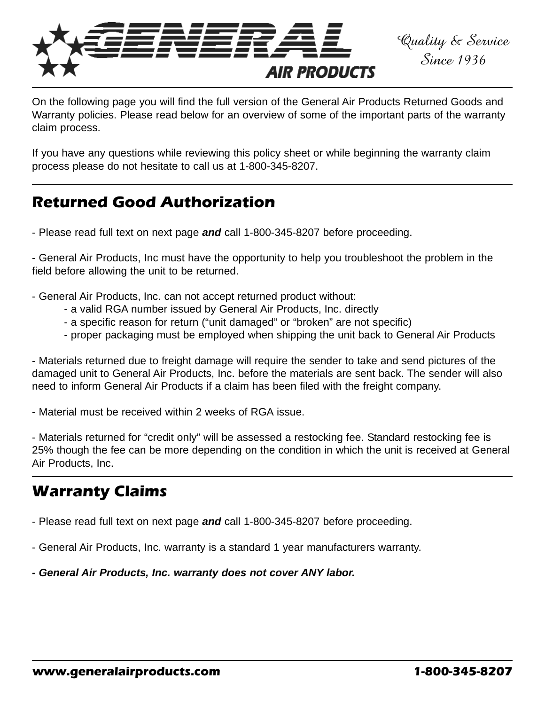

On the following page you will find the full version of the General Air Products Returned Goods and Warranty policies. Please read below for an overview of some of the important parts of the warranty claim process.

If you have any questions while reviewing this policy sheet or while beginning the warranty claim process please do not hesitate to call us at 1-800-345-8207.

# **Returned Good Authorization**

- Please read full text on next page *and* call 1-800-345-8207 before proceeding.

- General Air Products, Inc must have the opportunity to help you troubleshoot the problem in the field before allowing the unit to be returned.

- General Air Products, Inc. can not accept returned product without:
	- a valid RGA number issued by General Air Products, Inc. directly
	- a specific reason for return ("unit damaged" or "broken" are not specific)
	- proper packaging must be employed when shipping the unit back to General Air Products

- Materials returned due to freight damage will require the sender to take and send pictures of the damaged unit to General Air Products, Inc. before the materials are sent back. The sender will also need to inform General Air Products if a claim has been filed with the freight company.

- Material must be received within 2 weeks of RGA issue.

- Materials returned for "credit only" will be assessed a restocking fee. Standard restocking fee is 25% though the fee can be more depending on the condition in which the unit is received at General Air Products, Inc.

# **Warranty Claims**

- Please read full text on next page *and* call 1-800-345-8207 before proceeding.

- General Air Products, Inc. warranty is a standard 1 year manufacturers warranty.

*- General Air Products, Inc. warranty does not cover ANY labor.*